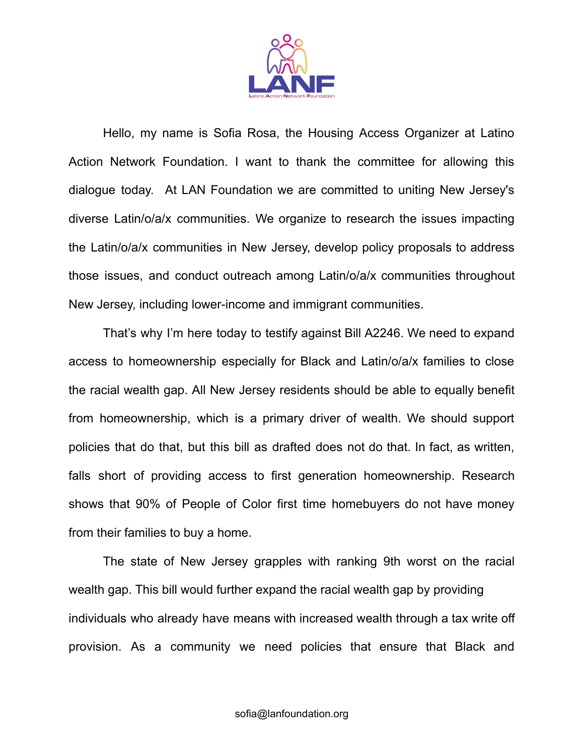

Hello, my name is Sofia Rosa, the Housing Access Organizer at Latino Action Network Foundation. I want to thank the committee for allowing this dialogue today. At LAN Foundation we are committed to uniting New Jersey's diverse Latin/o/a/x communities. We organize to research the issues impacting the Latin/o/a/x communities in New Jersey, develop policy proposals to address those issues, and conduct outreach among Latin/o/a/x communities throughout New Jersey, including lower-income and immigrant communities.

That's why I'm here today to testify against Bill A2246. We need to expand access to homeownership especially for Black and Latin/o/a/x families to close the racial wealth gap. All New Jersey residents should be able to equally benefit from homeownership, which is a primary driver of wealth. We should support policies that do that, but this bill as drafted does not do that. In fact, as written, falls short of providing access to first generation homeownership. Research shows that 90% of People of Color first time homebuyers do not have money from their families to buy a home.

The state of New Jersey grapples with ranking 9th worst on the racial wealth gap. This bill would further expand the racial wealth gap by providing individuals who already have means with increased wealth through a tax write off provision. As a community we need policies that ensure that Black and